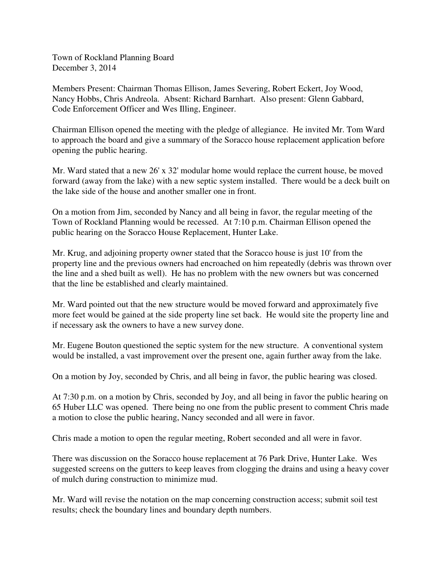Town of Rockland Planning Board December 3, 2014

Members Present: Chairman Thomas Ellison, James Severing, Robert Eckert, Joy Wood, Nancy Hobbs, Chris Andreola. Absent: Richard Barnhart. Also present: Glenn Gabbard, Code Enforcement Officer and Wes Illing, Engineer.

Chairman Ellison opened the meeting with the pledge of allegiance. He invited Mr. Tom Ward to approach the board and give a summary of the Soracco house replacement application before opening the public hearing.

Mr. Ward stated that a new 26' x 32' modular home would replace the current house, be moved forward (away from the lake) with a new septic system installed. There would be a deck built on the lake side of the house and another smaller one in front.

On a motion from Jim, seconded by Nancy and all being in favor, the regular meeting of the Town of Rockland Planning would be recessed. At 7:10 p.m. Chairman Ellison opened the public hearing on the Soracco House Replacement, Hunter Lake.

Mr. Krug, and adjoining property owner stated that the Soracco house is just 10' from the property line and the previous owners had encroached on him repeatedly (debris was thrown over the line and a shed built as well). He has no problem with the new owners but was concerned that the line be established and clearly maintained.

Mr. Ward pointed out that the new structure would be moved forward and approximately five more feet would be gained at the side property line set back. He would site the property line and if necessary ask the owners to have a new survey done.

Mr. Eugene Bouton questioned the septic system for the new structure. A conventional system would be installed, a vast improvement over the present one, again further away from the lake.

On a motion by Joy, seconded by Chris, and all being in favor, the public hearing was closed.

At 7:30 p.m. on a motion by Chris, seconded by Joy, and all being in favor the public hearing on 65 Huber LLC was opened. There being no one from the public present to comment Chris made a motion to close the public hearing, Nancy seconded and all were in favor.

Chris made a motion to open the regular meeting, Robert seconded and all were in favor.

There was discussion on the Soracco house replacement at 76 Park Drive, Hunter Lake. Wes suggested screens on the gutters to keep leaves from clogging the drains and using a heavy cover of mulch during construction to minimize mud.

Mr. Ward will revise the notation on the map concerning construction access; submit soil test results; check the boundary lines and boundary depth numbers.